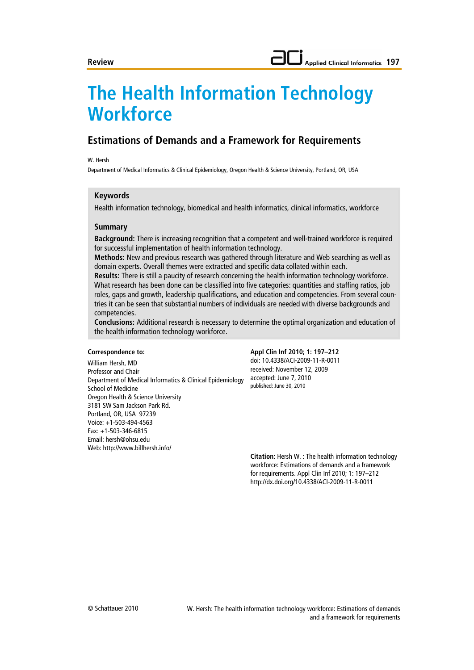# **The Health Information Technology Workforce**

# **Estimations of Demands and a Framework for Requirements**

#### W. Hersh

Department of Medical Informatics & Clinical Epidemiology, Oregon Health & Science University, Portland, OR, USA

## **Keywords**

Health information technology, biomedical and health informatics, clinical informatics, workforce

## **Summary**

**Background:** There is increasing recognition that a competent and well-trained workforce is required for successful implementation of health information technology.

**Methods:** New and previous research was gathered through literature and Web searching as well as domain experts. Overall themes were extracted and specific data collated within each.

**Results:** There is still a paucity of research concerning the health information technology workforce. What research has been done can be classified into five categories: quantities and staffing ratios, job roles, gaps and growth, leadership qualifications, and education and competencies. From several countries it can be seen that substantial numbers of individuals are needed with diverse backgrounds and competencies.

**Conclusions:** Additional research is necessary to determine the optimal organization and education of the health information technology workforce.

#### **Correspondence to:**

William Hersh, MD Professor and Chair Department of Medical Informatics & Clinical Epidemiology School of Medicine Oregon Health & Science University 3181 SW Sam Jackson Park Rd. Portland, OR, USA 97239 Voice: +1-503-494-4563 Fax: +1-503-346-6815 Email: hersh@ohsu.edu Web: http://www.billhersh.info/

#### **Appl Clin Inf 2010; 1: 197–212** doi: 10.4338/ACI-2009-11-R-0011 received: November 12, 2009 accepted: June 7, 2010 published: June 30, 2010

**Citation:** Hersh W. : The health information technology workforce: Estimations of demands and a framework for requirements. Appl Clin Inf 2010; 1: 197–212 http://dx.doi.org/10.4338/ACI-2009-11-R-0011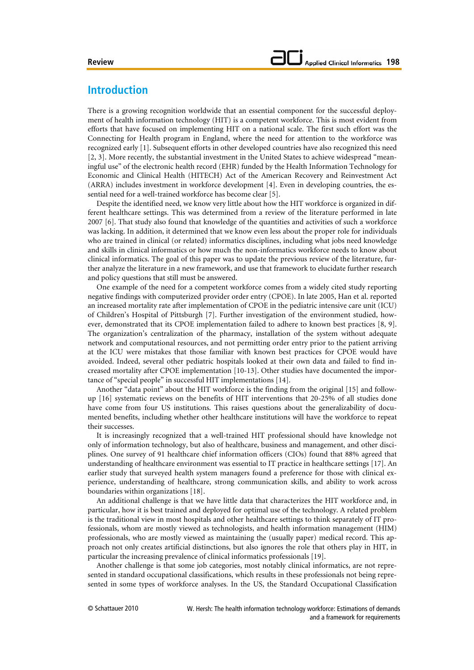# **Introduction**

There is a growing recognition worldwide that an essential component for the successful deployment of health information technology (HIT) is a competent workforce. This is most evident from efforts that have focused on implementing HIT on a national scale. The first such effort was the Connecting for Health program in England, where the need for attention to the workforce was recognized early [1]. Subsequent efforts in other developed countries have also recognized this need [2, 3]. More recently, the substantial investment in the United States to achieve widespread "meaningful use" of the electronic health record (EHR) funded by the Health Information Technology for Economic and Clinical Health (HITECH) Act of the American Recovery and Reinvestment Act (ARRA) includes investment in workforce development [4]. Even in developing countries, the essential need for a well-trained workforce has become clear [5].

Despite the identified need, we know very little about how the HIT workforce is organized in different healthcare settings. This was determined from a review of the literature performed in late 2007 [6]. That study also found that knowledge of the quantities and activities of such a workforce was lacking. In addition, it determined that we know even less about the proper role for individuals who are trained in clinical (or related) informatics disciplines, including what jobs need knowledge and skills in clinical informatics or how much the non-informatics workforce needs to know about clinical informatics. The goal of this paper was to update the previous review of the literature, further analyze the literature in a new framework, and use that framework to elucidate further research and policy questions that still must be answered.

One example of the need for a competent workforce comes from a widely cited study reporting negative findings with computerized provider order entry (CPOE). In late 2005, Han et al. reported an increased mortality rate after implementation of CPOE in the pediatric intensive care unit (ICU) of Children's Hospital of Pittsburgh [7]. Further investigation of the environment studied, however, demonstrated that its CPOE implementation failed to adhere to known best practices [8, 9]. The organization's centralization of the pharmacy, installation of the system without adequate network and computational resources, and not permitting order entry prior to the patient arriving at the ICU were mistakes that those familiar with known best practices for CPOE would have avoided. Indeed, several other pediatric hospitals looked at their own data and failed to find increased mortality after CPOE implementation [10-13]. Other studies have documented the importance of "special people" in successful HIT implementations [14].

Another "data point" about the HIT workforce is the finding from the original [15] and followup [16] systematic reviews on the benefits of HIT interventions that 20-25% of all studies done have come from four US institutions. This raises questions about the generalizability of documented benefits, including whether other healthcare institutions will have the workforce to repeat their successes.

It is increasingly recognized that a well-trained HIT professional should have knowledge not only of information technology, but also of healthcare, business and management, and other disciplines. One survey of 91 healthcare chief information officers (CIOs) found that 88% agreed that understanding of healthcare environment was essential to IT practice in healthcare settings [17]. An earlier study that surveyed health system managers found a preference for those with clinical experience, understanding of healthcare, strong communication skills, and ability to work across boundaries within organizations [18].

An additional challenge is that we have little data that characterizes the HIT workforce and, in particular, how it is best trained and deployed for optimal use of the technology. A related problem is the traditional view in most hospitals and other healthcare settings to think separately of IT professionals, whom are mostly viewed as technologists, and health information management (HIM) professionals, who are mostly viewed as maintaining the (usually paper) medical record. This approach not only creates artificial distinctions, but also ignores the role that others play in HIT, in particular the increasing prevalence of clinical informatics professionals [19].

Another challenge is that some job categories, most notably clinical informatics, are not represented in standard occupational classifications, which results in these professionals not being represented in some types of workforce analyses. In the US, the Standard Occupational Classification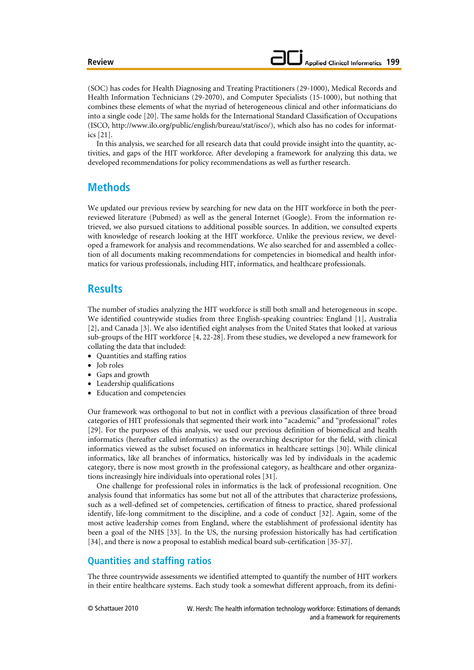(SOC) has codes for Health Diagnosing and Treating Practitioners (29-1000), Medical Records and Health Information Technicians (29-2070), and Computer Specialists (15-1000), but nothing that combines these elements of what the myriad of heterogeneous clinical and other informaticians do into a single code [20]. The same holds for the International Standard Classification of Occupations (ISCO, http://www.ilo.org/public/english/bureau/stat/isco/), which also has no codes for informatics [21].

In this analysis, we searched for all research data that could provide insight into the quantity, activities, and gaps of the HIT workforce. After developing a framework for analyzing this data, we developed recommendations for policy recommendations as well as further research.

# **Methods**

We updated our previous review by searching for new data on the HIT workforce in both the peerreviewed literature (Pubmed) as well as the general Internet (Google). From the information retrieved, we also pursued citations to additional possible sources. In addition, we consulted experts with knowledge of research looking at the HIT workforce. Unlike the previous review, we developed a framework for analysis and recommendations. We also searched for and assembled a collection of all documents making recommendations for competencies in biomedical and health informatics for various professionals, including HIT, informatics, and healthcare professionals.

# **Results**

The number of studies analyzing the HIT workforce is still both small and heterogeneous in scope. We identified countrywide studies from three English-speaking countries: England [1], Australia [2], and Canada [3]. We also identified eight analyses from the United States that looked at various sub-groups of the HIT workforce [4, 22-28]. From these studies, we developed a new framework for collating the data that included:

- Quantities and staffing ratios
- Job roles
- Gaps and growth
- Leadership qualifications
- Education and competencies

Our framework was orthogonal to but not in conflict with a previous classification of three broad categories of HIT professionals that segmented their work into "academic" and "professional" roles [29]. For the purposes of this analysis, we used our previous definition of biomedical and health informatics (hereafter called informatics) as the overarching descriptor for the field, with clinical informatics viewed as the subset focused on informatics in healthcare settings [30]. While clinical informatics, like all branches of informatics, historically was led by individuals in the academic category, there is now most growth in the professional category, as healthcare and other organizations increasingly hire individuals into operational roles [31].

One challenge for professional roles in informatics is the lack of professional recognition. One analysis found that informatics has some but not all of the attributes that characterize professions, such as a well-defined set of competencies, certification of fitness to practice, shared professional identify, life-long commitment to the discipline, and a code of conduct [32]. Again, some of the most active leadership comes from England, where the establishment of professional identity has been a goal of the NHS [33]. In the US, the nursing profession historically has had certification [34], and there is now a proposal to establish medical board sub-certification [35-37].

# **Quantities and staffing ratios**

The three countrywide assessments we identified attempted to quantify the number of HIT workers in their entire healthcare systems. Each study took a somewhat different approach, from its defini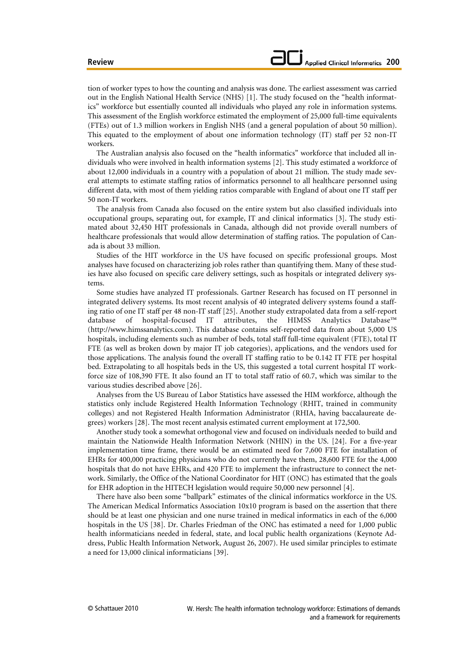tion of worker types to how the counting and analysis was done. The earliest assessment was carried out in the English National Health Service (NHS) [1]. The study focused on the "health informatics" workforce but essentially counted all individuals who played any role in information systems. This assessment of the English workforce estimated the employment of 25,000 full-time equivalents (FTEs) out of 1.3 million workers in English NHS (and a general population of about 50 million). This equated to the employment of about one information technology (IT) staff per 52 non-IT workers.

The Australian analysis also focused on the "health informatics" workforce that included all individuals who were involved in health information systems [2]. This study estimated a workforce of about 12,000 individuals in a country with a population of about 21 million. The study made several attempts to estimate staffing ratios of informatics personnel to all healthcare personnel using different data, with most of them yielding ratios comparable with England of about one IT staff per 50 non-IT workers.

The analysis from Canada also focused on the entire system but also classified individuals into occupational groups, separating out, for example, IT and clinical informatics [3]. The study estimated about 32,450 HIT professionals in Canada, although did not provide overall numbers of healthcare professionals that would allow determination of staffing ratios. The population of Canada is about 33 million.

Studies of the HIT workforce in the US have focused on specific professional groups. Most analyses have focused on characterizing job roles rather than quantifying them. Many of these studies have also focused on specific care delivery settings, such as hospitals or integrated delivery systems.

Some studies have analyzed IT professionals. Gartner Research has focused on IT personnel in integrated delivery systems. Its most recent analysis of 40 integrated delivery systems found a staffing ratio of one IT staff per 48 non-IT staff [25]. Another study extrapolated data from a self-report database of hospital-focused IT attributes, the HIMSS Analytics Database™ (http://www.himssanalytics.com). This database contains self-reported data from about 5,000 US hospitals, including elements such as number of beds, total staff full-time equivalent (FTE), total IT FTE (as well as broken down by major IT job categories), applications, and the vendors used for those applications. The analysis found the overall IT staffing ratio to be 0.142 IT FTE per hospital bed. Extrapolating to all hospitals beds in the US, this suggested a total current hospital IT workforce size of 108,390 FTE. It also found an IT to total staff ratio of 60.7, which was similar to the various studies described above [26].

Analyses from the US Bureau of Labor Statistics have assessed the HIM workforce, although the statistics only include Registered Health Information Technology (RHIT, trained in community colleges) and not Registered Health Information Administrator (RHIA, having baccalaureate degrees) workers [28]. The most recent analysis estimated current employment at 172,500.

Another study took a somewhat orthogonal view and focused on individuals needed to build and maintain the Nationwide Health Information Network (NHIN) in the US. [24]. For a five-year implementation time frame, there would be an estimated need for 7,600 FTE for installation of EHRs for 400,000 practicing physicians who do not currently have them, 28,600 FTE for the 4,000 hospitals that do not have EHRs, and 420 FTE to implement the infrastructure to connect the network. Similarly, the Office of the National Coordinator for HIT (ONC) has estimated that the goals for EHR adoption in the HITECH legislation would require 50,000 new personnel [4].

There have also been some "ballpark" estimates of the clinical informatics workforce in the US. The American Medical Informatics Association 10x10 program is based on the assertion that there should be at least one physician and one nurse trained in medical informatics in each of the 6,000 hospitals in the US [38]. Dr. Charles Friedman of the ONC has estimated a need for 1,000 public health informaticians needed in federal, state, and local public health organizations (Keynote Address, Public Health Information Network, August 26, 2007). He used similar principles to estimate a need for 13,000 clinical informaticians [39].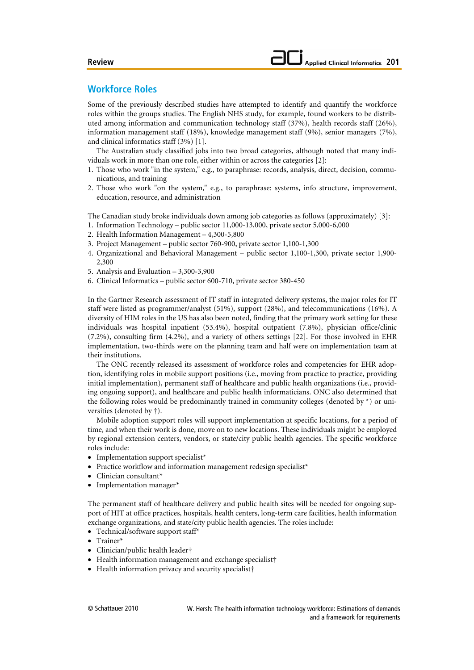# **Workforce Roles**

Some of the previously described studies have attempted to identify and quantify the workforce roles within the groups studies. The English NHS study, for example, found workers to be distributed among information and communication technology staff (37%), health records staff (26%), information management staff (18%), knowledge management staff (9%), senior managers (7%), and clinical informatics staff (3%) [1].

The Australian study classified jobs into two broad categories, although noted that many individuals work in more than one role, either within or across the categories [2]:

- 1. Those who work "in the system," e.g., to paraphrase: records, analysis, direct, decision, communications, and training
- 2. Those who work "on the system," e.g., to paraphrase: systems, info structure, improvement, education, resource, and administration

The Canadian study broke individuals down among job categories as follows (approximately) [3]:

- 1. Information Technology public sector 11,000-13,000, private sector 5,000-6,000
- 2. Health Information Management 4,300-5,800
- 3. Project Management public sector 760-900, private sector 1,100-1,300
- 4. Organizational and Behavioral Management public sector 1,100-1,300, private sector 1,900- 2,300
- 5. Analysis and Evaluation 3,300-3,900
- 6. Clinical Informatics public sector 600-710, private sector 380-450

In the Gartner Research assessment of IT staff in integrated delivery systems, the major roles for IT staff were listed as programmer/analyst (51%), support (28%), and telecommunications (16%). A diversity of HIM roles in the US has also been noted, finding that the primary work setting for these individuals was hospital inpatient (53.4%), hospital outpatient (7.8%), physician office/clinic (7.2%), consulting firm (4.2%), and a variety of others settings [22]. For those involved in EHR implementation, two-thirds were on the planning team and half were on implementation team at their institutions.

The ONC recently released its assessment of workforce roles and competencies for EHR adoption, identifying roles in mobile support positions (i.e., moving from practice to practice, providing initial implementation), permanent staff of healthcare and public health organizations (i.e., providing ongoing support), and healthcare and public health informaticians. ONC also determined that the following roles would be predominantly trained in community colleges (denoted by  $*$ ) or universities (denoted by †).

Mobile adoption support roles will support implementation at specific locations, for a period of time, and when their work is done, move on to new locations. These individuals might be employed by regional extension centers, vendors, or state/city public health agencies. The specific workforce roles include:

- Implementation support specialist\*
- Practice workflow and information management redesign specialist<sup>\*</sup>
- Clinician consultant\*
- Implementation manager\*

The permanent staff of healthcare delivery and public health sites will be needed for ongoing support of HIT at office practices, hospitals, health centers, long-term care facilities, health information exchange organizations, and state/city public health agencies. The roles include:

- Technical/software support staff\*
- Trainer\*
- Clinician/public health leader†
- Health information management and exchange specialist†
- Health information privacy and security specialist†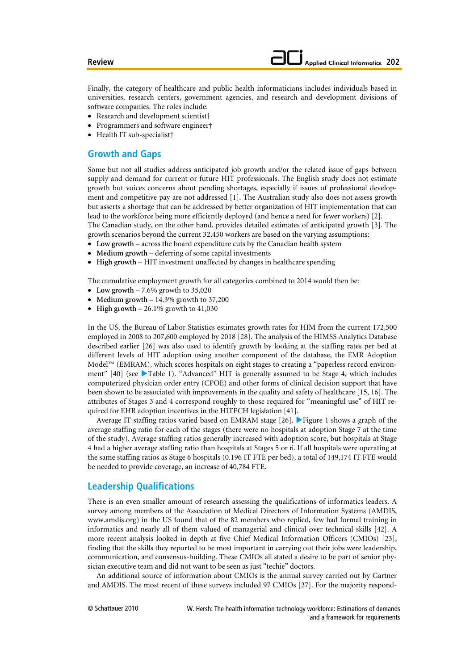Finally, the category of healthcare and public health informaticians includes individuals based in universities, research centers, government agencies, and research and development divisions of software companies. The roles include:

- Research and development scientist†
- Programmers and software engineer†
- Health IT sub-specialist†

# **Growth and Gaps**

Some but not all studies address anticipated job growth and/or the related issue of gaps between supply and demand for current or future HIT professionals. The English study does not estimate growth but voices concerns about pending shortages, especially if issues of professional development and competitive pay are not addressed [1]. The Australian study also does not assess growth but asserts a shortage that can be addressed by better organization of HIT implementation that can lead to the workforce being more efficiently deployed (and hence a need for fewer workers) [2].

The Canadian study, on the other hand, provides detailed estimates of anticipated growth [3]. The growth scenarios beyond the current 32,450 workers are based on the varying assumptions:

- **Low growth** across the board expenditure cuts by the Canadian health system
- **Medium growth** deferring of some capital investments
- **High growth** HIT investment unaffected by changes in healthcare spending

The cumulative employment growth for all categories combined to 2014 would then be:

- Low growth 7.6% growth to 35,020
- **Medium growth** 14.3% growth to 37,200
- **High growth** 26.1% growth to 41,030

In the US, the Bureau of Labor Statistics estimates growth rates for HIM from the current 172,500 employed in 2008 to 207,600 employed by 2018 [28]. The analysis of the HIMSS Analytics Database described earlier [26] was also used to identify growth by looking at the staffing rates per bed at different levels of HIT adoption using another component of the database, the EMR Adoption Model™ (EMRAM), which scores hospitals on eight stages to creating a "paperless record environment"  $[40]$  (see Table 1). "Advanced" HIT is generally assumed to be Stage 4, which includes computerized physician order entry (CPOE) and other forms of clinical decision support that have been shown to be associated with improvements in the quality and safety of healthcare [15, 16]. The attributes of Stages 3 and 4 correspond roughly to those required for "meaningful use" of HIT required for EHR adoption incentives in the HITECH legislation [41].

Average IT staffing ratios varied based on EMRAM stage [26]. Figure 1 shows a graph of the average staffing ratio for each of the stages (there were no hospitals at adoption Stage 7 at the time of the study). Average staffing ratios generally increased with adoption score, but hospitals at Stage 4 had a higher average staffing ratio than hospitals at Stages 5 or 6. If all hospitals were operating at the same staffing ratios as Stage 6 hospitals (0.196 IT FTE per bed), a total of 149,174 IT FTE would be needed to provide coverage, an increase of 40,784 FTE.

## **Leadership Qualifications**

There is an even smaller amount of research assessing the qualifications of informatics leaders. A survey among members of the Association of Medical Directors of Information Systems (AMDIS, www.amdis.org) in the US found that of the 82 members who replied, few had formal training in informatics and nearly all of them valued of managerial and clinical over technical skills [42]. A more recent analysis looked in depth at five Chief Medical Information Officers (CMIOs) [23], finding that the skills they reported to be most important in carrying out their jobs were leadership, communication, and consensus-building. These CMIOs all stated a desire to be part of senior physician executive team and did not want to be seen as just "techie" doctors.

An additional source of information about CMIOs is the annual survey carried out by Gartner and AMDIS. The most recent of these surveys included 97 CMIOs [27]. For the majority respond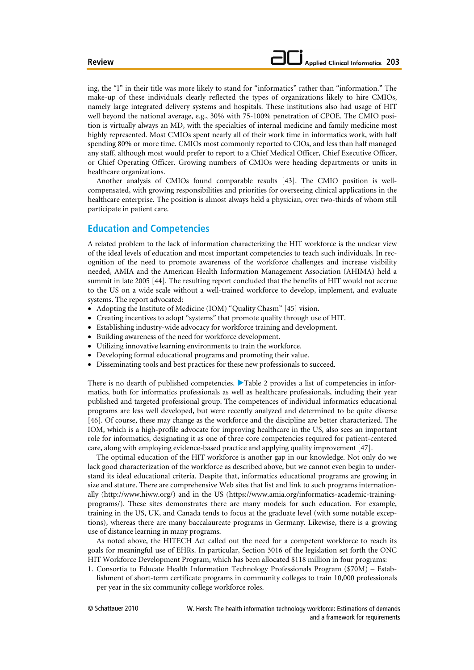ing, the "I" in their title was more likely to stand for "informatics" rather than "information." The make-up of these individuals clearly reflected the types of organizations likely to hire CMIOs, namely large integrated delivery systems and hospitals. These institutions also had usage of HIT well beyond the national average, e.g., 30% with 75-100% penetration of CPOE. The CMIO position is virtually always an MD, with the specialties of internal medicine and family medicine most highly represented. Most CMIOs spent nearly all of their work time in informatics work, with half spending 80% or more time. CMIOs most commonly reported to CIOs, and less than half managed any staff, although most would prefer to report to a Chief Medical Officer, Chief Executive Officer, or Chief Operating Officer. Growing numbers of CMIOs were heading departments or units in healthcare organizations.

Another analysis of CMIOs found comparable results [43]. The CMIO position is wellcompensated, with growing responsibilities and priorities for overseeing clinical applications in the healthcare enterprise. The position is almost always held a physician, over two-thirds of whom still participate in patient care.

# **Education and Competencies**

A related problem to the lack of information characterizing the HIT workforce is the unclear view of the ideal levels of education and most important competencies to teach such individuals. In recognition of the need to promote awareness of the workforce challenges and increase visibility needed, AMIA and the American Health Information Management Association (AHIMA) held a summit in late 2005 [44]. The resulting report concluded that the benefits of HIT would not accrue to the US on a wide scale without a well-trained workforce to develop, implement, and evaluate systems. The report advocated:

- Adopting the Institute of Medicine (IOM) "Quality Chasm" [45] vision.
- Creating incentives to adopt "systems" that promote quality through use of HIT.
- Establishing industry-wide advocacy for workforce training and development.
- Building awareness of the need for workforce development.
- Utilizing innovative learning environments to train the workforce.
- Developing formal educational programs and promoting their value.
- Disseminating tools and best practices for these new professionals to succeed.

There is no dearth of published competencies.  $\blacktriangleright$  Table 2 provides a list of competencies in informatics, both for informatics professionals as well as healthcare professionals, including their year published and targeted professional group. The competences of individual informatics educational programs are less well developed, but were recently analyzed and determined to be quite diverse [46]. Of course, these may change as the workforce and the discipline are better characterized. The IOM, which is a high-profile advocate for improving healthcare in the US, also sees an important role for informatics, designating it as one of three core competencies required for patient-centered care, along with employing evidence-based practice and applying quality improvement [47].

The optimal education of the HIT workforce is another gap in our knowledge. Not only do we lack good characterization of the workforce as described above, but we cannot even begin to understand its ideal educational criteria. Despite that, informatics educational programs are growing in size and stature. There are comprehensive Web sites that list and link to such programs internationally (http://www.hiww.org/) and in the US (https://www.amia.org/informatics-academic-trainingprograms/). These sites demonstrates there are many models for such education. For example, training in the US, UK, and Canada tends to focus at the graduate level (with some notable exceptions), whereas there are many baccalaureate programs in Germany. Likewise, there is a growing use of distance learning in many programs.

As noted above, the HITECH Act called out the need for a competent workforce to reach its goals for meaningful use of EHRs. In particular, Section 3016 of the legislation set forth the ONC HIT Workforce Development Program, which has been allocated \$118 million in four programs:

1. Consortia to Educate Health Information Technology Professionals Program (\$70M) – Establishment of short-term certificate programs in community colleges to train 10,000 professionals per year in the six community college workforce roles.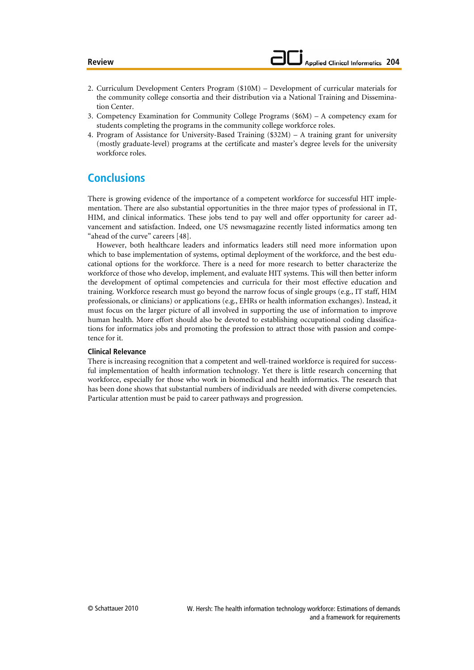- 2. Curriculum Development Centers Program (\$10M) Development of curricular materials for the community college consortia and their distribution via a National Training and Dissemination Center.
- 3. Competency Examination for Community College Programs (\$6M) A competency exam for students completing the programs in the community college workforce roles.
- 4. Program of Assistance for University-Based Training (\$32M) A training grant for university (mostly graduate-level) programs at the certificate and master's degree levels for the university workforce roles.

# **Conclusions**

There is growing evidence of the importance of a competent workforce for successful HIT implementation. There are also substantial opportunities in the three major types of professional in IT, HIM, and clinical informatics. These jobs tend to pay well and offer opportunity for career advancement and satisfaction. Indeed, one US newsmagazine recently listed informatics among ten "ahead of the curve" careers [48].

However, both healthcare leaders and informatics leaders still need more information upon which to base implementation of systems, optimal deployment of the workforce, and the best educational options for the workforce. There is a need for more research to better characterize the workforce of those who develop, implement, and evaluate HIT systems. This will then better inform the development of optimal competencies and curricula for their most effective education and training. Workforce research must go beyond the narrow focus of single groups (e.g., IT staff, HIM professionals, or clinicians) or applications (e.g., EHRs or health information exchanges). Instead, it must focus on the larger picture of all involved in supporting the use of information to improve human health. More effort should also be devoted to establishing occupational coding classifications for informatics jobs and promoting the profession to attract those with passion and competence for it.

### **Clinical Relevance**

There is increasing recognition that a competent and well-trained workforce is required for successful implementation of health information technology. Yet there is little research concerning that workforce, especially for those who work in biomedical and health informatics. The research that has been done shows that substantial numbers of individuals are needed with diverse competencies. Particular attention must be paid to career pathways and progression.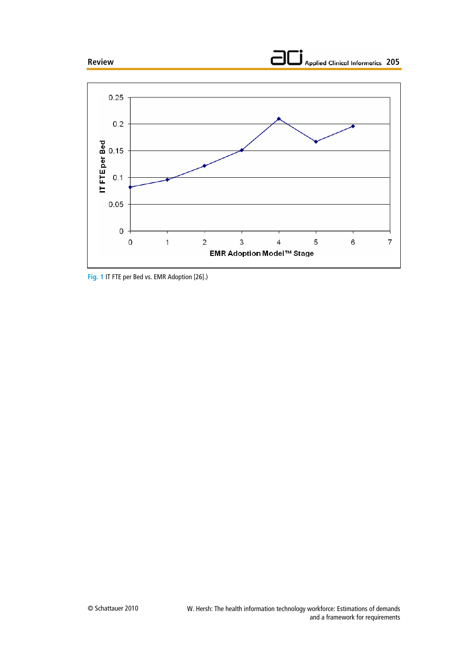



**Fig. 1** IT FTE per Bed vs. EMR Adoption [26].)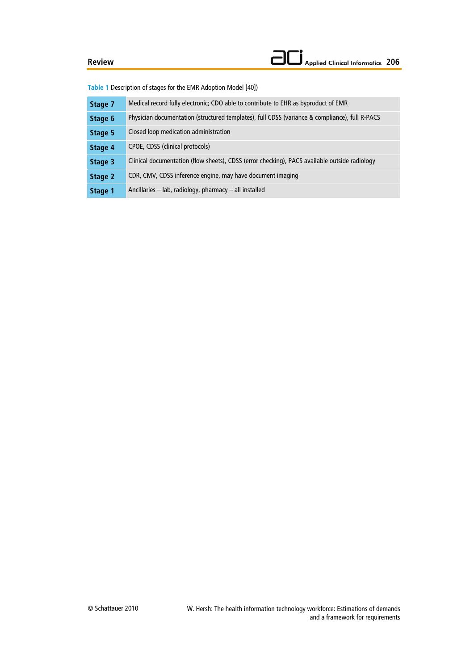**Table 1** Description of stages for the EMR Adoption Model [40])

| Stage 7 | Medical record fully electronic; CDO able to contribute to EHR as byproduct of EMR             |  |  |  |
|---------|------------------------------------------------------------------------------------------------|--|--|--|
| Stage 6 | Physician documentation (structured templates), full CDSS (variance & compliance), full R-PACS |  |  |  |
| Stage 5 | Closed loop medication administration                                                          |  |  |  |
| Stage 4 | CPOE, CDSS (clinical protocols)                                                                |  |  |  |
| Stage 3 | Clinical documentation (flow sheets), CDSS (error checking), PACS available outside radiology  |  |  |  |
| Stage 2 | CDR, CMV, CDSS inference engine, may have document imaging                                     |  |  |  |
| Stage 1 | Ancillaries $-$ lab, radiology, pharmacy $-$ all installed                                     |  |  |  |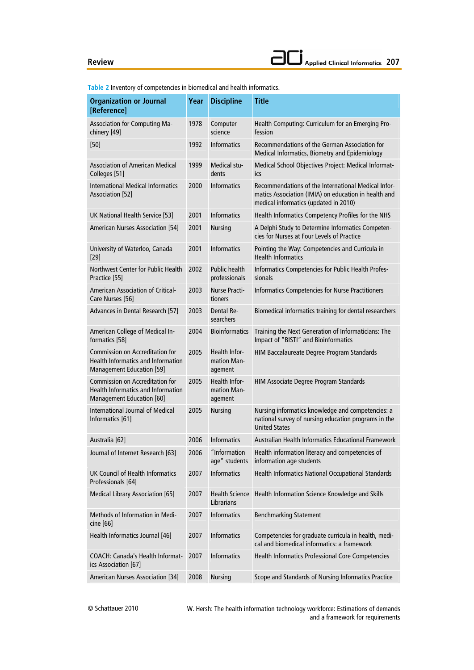**Organization or Journal [Reference] Year Discipline Title**  Association for Computing Machinery [49] 1978 Computer science Health Computing: Curriculum for an Emerging Profession [50] 1992 Informatics Recommendations of the German Association for Medical Informatics, Biometry and Epidemiology Association of American Medical Colleges [51] 1999 Medical students Medical School Objectives Project: Medical Informatics International Medical Informatics Association [52] 2000 Informatics Recommendations of the International Medical Informatics Association (IMIA) on education in health and medical informatics (updated in 2010) UK National Health Service [53] 2001 Informatics Health Informatics Competency Profiles for the NHS American Nurses Association [54] 2001 Nursing A Delphi Study to Determine Informatics Competencies for Nurses at Four Levels of Practice University of Waterloo, Canada [29] 2001 Informatics Pointing the Way: Competencies and Curricula in Health Informatics Northwest Center for Public Health Practice [55] 2002 Public health professionals Informatics Competencies for Public Health Professionals American Association of Critical-Care Nurses [56] 2003 Nurse Practitioners Informatics Competencies for Nurse Practitioners Advances in Dental Research [57] 2003 Dental Researchers Biomedical informatics training for dental researchers American College of Medical Informatics [58] 2004 Bioinformatics Training the Next Generation of Informaticians: The Impact of "BISTI" and Bioinformatics Commission on Accreditation for Health Informatics and Information Management Education [59] 2005 Health Information Management HIM Baccalaureate Degree Program Standards Commission on Accreditation for Health Informatics and Information Management Education [60] 2005 Health Information Management HIM Associate Degree Program Standards International Journal of Medical Informatics [61] 2005 Nursing Nursing informatics knowledge and competencies: a national survey of nursing education programs in the United States Australia [62] 2006 Informatics Australian Health Informatics Educational Framework Journal of Internet Research [63] 2006 "Information age" students Health information literacy and competencies of information age students UK Council of Health Informatics Professionals [64] 2007 Informatics Health Informatics National Occupational Standards Medical Library Association [65] 2007 Health Science Librarians Health Information Science Knowledge and Skills Methods of Information in Medicine [66] 2007 Informatics Benchmarking Statement Health Informatics Journal [46] 2007 Informatics Competencies for graduate curricula in health, medical and biomedical informatics: a framework COACH: Canada's Health Informatics Association [67] 2007 Informatics Health Informatics Professional Core Competencies American Nurses Association [34] 2008 Nursing Scope and Standards of Nursing Informatics Practice

**Table 2** Inventory of competencies in biomedical and health informatics.

W. Hersh: The health information technology workforce: Estimations of demands and a framework for requirements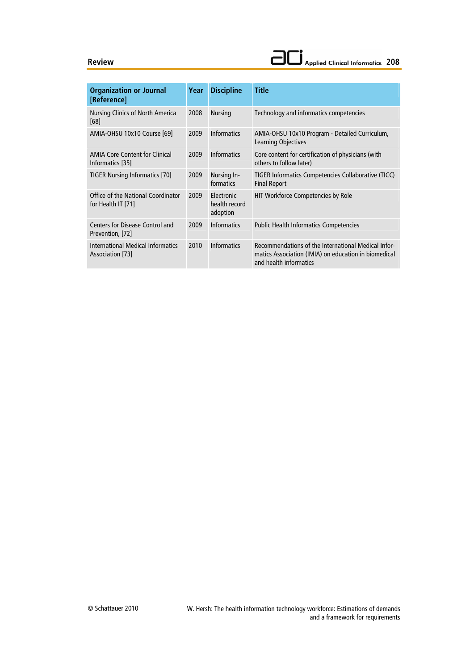| <b>Organization or Journal</b><br>[Reference]             | Year | <b>Discipline</b>                              | <b>Title</b>                                                                                                                          |
|-----------------------------------------------------------|------|------------------------------------------------|---------------------------------------------------------------------------------------------------------------------------------------|
| Nursing Clinics of North America<br>[68]                  | 2008 | <b>Nursing</b>                                 | Technology and informatics competencies                                                                                               |
| AMIA-OHSU 10x10 Course [69]                               | 2009 | <b>Informatics</b>                             | AMIA-OHSU 10x10 Program - Detailed Curriculum,<br>Learning Objectives                                                                 |
| <b>AMIA Core Content for Clinical</b><br>Informatics [35] | 2009 | <b>Informatics</b>                             | Core content for certification of physicians (with<br>others to follow later)                                                         |
| <b>TIGER Nursing Informatics [70]</b>                     | 2009 | Nursing In-<br>formatics                       | TIGER Informatics Competencies Collaborative (TICC)<br><b>Final Report</b>                                                            |
| Office of the National Coordinator                        | 2009 | <b>Flectronic</b><br>health record<br>adoption | HIT Workforce Competencies by Role                                                                                                    |
| for Health IT [71]                                        |      |                                                |                                                                                                                                       |
| Centers for Disease Control and                           | 2009 | <b>Informatics</b>                             | <b>Public Health Informatics Competencies</b>                                                                                         |
| Prevention, [72]                                          |      |                                                |                                                                                                                                       |
| International Medical Informatics<br>Association [73]     | 2010 | Informatics                                    | Recommendations of the International Medical Infor-<br>matics Association (IMIA) on education in biomedical<br>and health informatics |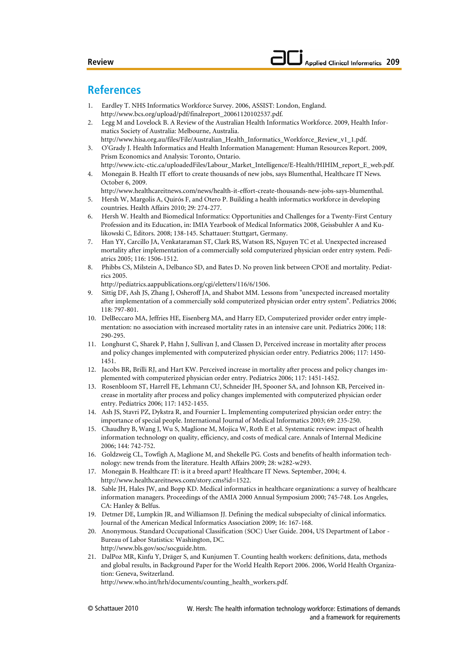# **References**

- 1. Eardley T. NHS Informatics Workforce Survey. 2006, ASSIST: London, England. http://www.bcs.org/upload/pdf/finalreport\_20061120102537.pdf.
- 2. Legg M and Lovelock B. A Review of the Australian Health Informatics Workforce. 2009, Health Informatics Society of Australia: Melbourne, Australia.
- http://www.hisa.org.au/files/File/Australian\_Health\_Informatics\_Workforce\_Review\_v1\_1.pdf. 3. O'Grady J. Health Informatics and Health Information Management: Human Resources Report. 2009, Prism Economics and Analysis: Toronto, Ontario.
- http://www.ictc-ctic.ca/uploadedFiles/Labour\_Market\_Intelligence/E-Health/HIHIM\_report\_E\_web.pdf. 4. Monegain B. Health IT effort to create thousands of new jobs, says Blumenthal, Healthcare IT News. October 6, 2009.
	- http://www.healthcareitnews.com/news/health-it-effort-create-thousands-new-jobs-says-blumenthal.
- 5. Hersh W, Margolis A, Quirós F, and Otero P. Building a health informatics workforce in developing countries. Health Affairs 2010; 29: 274-277.
- 6. Hersh W. Health and Biomedical Informatics: Opportunities and Challenges for a Twenty-First Century Profession and its Education, in: IMIA Yearbook of Medical Informatics 2008, Geissbuhler A and Kulikowski C, Editors. 2008; 138-145. Schattauer: Stuttgart, Germany.
- 7. Han YY, Carcillo JA, Venkataraman ST, Clark RS, Watson RS, Nguyen TC et al. Unexpected increased mortality after implementation of a commercially sold computerized physician order entry system. Pediatrics 2005; 116: 1506-1512.
- 8. Phibbs CS, Milstein A, Delbanco SD, and Bates D. No proven link between CPOE and mortality. Pediatrics 2005.

http://pediatrics.aappublications.org/cgi/eletters/116/6/1506.

- 9. Sittig DF, Ash JS, Zhang J, Osheroff JA, and Shabot MM. Lessons from "unexpected increased mortality after implementation of a commercially sold computerized physician order entry system". Pediatrics 2006; 118: 797-801.
- 10. DelBeccaro MA, Jeffries HE, Eisenberg MA, and Harry ED, Computerized provider order entry implementation: no association with increased mortality rates in an intensive care unit. Pediatrics 2006; 118: 290-295.
- 11. Longhurst C, Sharek P, Hahn J, Sullivan J, and Classen D, Perceived increase in mortality after process and policy changes implemented with computerized physician order entry. Pediatrics 2006; 117: 1450- 1451.
- 12. Jacobs BR, Brilli RJ, and Hart KW. Perceived increase in mortality after process and policy changes implemented with computerized physician order entry. Pediatrics 2006; 117: 1451-1452.
- 13. Rosenbloom ST, Harrell FE, Lehmann CU, Schneider JH, Spooner SA, and Johnson KB, Perceived increase in mortality after process and policy changes implemented with computerized physician order entry. Pediatrics 2006; 117: 1452-1455.
- 14. Ash JS, Stavri PZ, Dykstra R, and Fournier L. Implementing computerized physician order entry: the importance of special people. International Journal of Medical Informatics 2003; 69: 235-250.
- 15. Chaudhry B, Wang J, Wu S, Maglione M, Mojica W, Roth E et al. Systematic review: impact of health information technology on quality, efficiency, and costs of medical care. Annals of Internal Medicine 2006; 144: 742-752.
- 16. Goldzweig CL, Towfigh A, Maglione M, and Shekelle PG. Costs and benefits of health information technology: new trends from the literature. Health Affairs 2009; 28: w282-w293.
- 17. Monegain B. Healthcare IT: is it a breed apart? Healthcare IT News. September, 2004; 4. http://www.healthcareitnews.com/story.cms?id=1522.
- 18. Sable JH, Hales JW, and Bopp KD. Medical informatics in healthcare organizations: a survey of healthcare information managers. Proceedings of the AMIA 2000 Annual Symposium 2000; 745-748. Los Angeles, CA: Hanley & Belfus.
- 19. Detmer DE, Lumpkin JR, and Williamson JJ. Defining the medical subspecialty of clinical informatics. Journal of the American Medical Informatics Association 2009; 16: 167-168.
- 20. Anonymous. Standard Occupational Classification (SOC) User Guide. 2004, US Department of Labor Bureau of Labor Statistics: Washington, DC. http://www.bls.gov/soc/socguide.htm.
- 21. DalPoz MR, Kinfu Y, Dräger S, and Kunjumen T. Counting health workers: definitions, data, methods and global results, in Background Paper for the World Health Report 2006. 2006, World Health Organization: Geneva, Switzerland.
	- http://www.who.int/hrh/documents/counting\_health\_workers.pdf.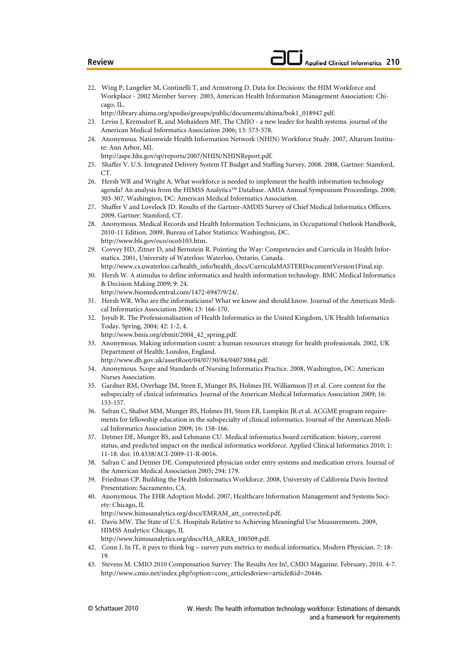- 22. Wing P, Langelier M, Continelli T, and Armstrong D. Data for Decisions: the HIM Workforce and Workplace - 2002 Member Survey. 2003, American Health Information Management Association: Chicago, IL.
- http://library.ahima.org/xpedio/groups/public/documents/ahima/bok1\_018947.pdf.
- 23. Leviss J, Kremsdorf R, and Mohaideen MF, The CMIO a new leader for health systems. journal of the American Medical Informatics Association 2006; 13: 573-578.
- 24. Anonymous. Nationwide Health Information Network (NHIN) Workforce Study. 2007, Altarum Institute: Ann Arbor, MI.
- http://aspe.hhs.gov/sp/reports/2007/NHIN/NHINReport.pdf.
- 25. Shaffer V. U.S. Integrated Delivery System IT Budget and Staffing Survey, 2008. 2008, Gartner: Stamford, CT.
- 26. Hersh WR and Wright A. What workforce is needed to implement the health information technology agenda? An analysis from the HIMSS Analytics™ Database. AMIA Annual Symposium Proceedings. 2008; 303-307. Washington, DC: American Medical Informatics Association.
- 27. Shaffer V and Lovelock JD. Results of the Gartner-AMDIS Survey of Chief Medical Informatics Officers. 2009, Gartner: Stamford, CT.
- 28. Anonymous. Medical Records and Health Information Technicians, in Occupational Outlook Handbook, 2010-11 Edition. 2009, Bureau of Labor Statistics: Washington, DC. http://www.bls.gov/oco/ocoS103.htm.
- 29. Covvey HD, Zitner D, and Bernstein R. Pointing the Way: Competencies and Curricula in Health Informatics. 2001, University of Waterloo: Waterloo, Ontario, Canada. http://www.cs.uwaterloo.ca/health\_info/health\_docs/CurriculaMASTERDocumentVersion1Final.zip.
- 30. Hersh W. A stimulus to define informatics and health information technology. BMC Medical Informatics & Decision Making 2009; 9: 24. http://www.biomedcentral.com/1472-6947/9/24/.
- 31. Hersh WR. Who are the informaticians? What we know and should know. Journal of the American Medi-
- cal Informatics Association 2006; 13: 166-170. 32. Joyub R. The Professionalisation of Health Informatics in the United Kingdom, UK Health Informatics Today. Spring, 2004; 42: 1-2, 4.

http://www.bmis.org/ebmit/2004\_42\_spring.pdf.

- 33. Anonymous. Making information count: a human resources strategy for health professionals. 2002, UK Department of Health: London, England.
	- http://www.dh.gov.uk/assetRoot/04/07/30/84/04073084.pdf.
- 34. Anonymous. Scope and Standards of Nursing Informatics Practice. 2008, Washington, DC: American Nurses Association.
- 35. Gardner RM, Overhage JM, Steen E, Munger BS, Holmes JH, Williamson JJ et al. Core content for the subspecialty of clinical informatics. Journal of the American Medical Informatics Association 2009; 16: 153-157.
- 36. Safran C, Shabot MM, Munger BS, Holmes JH, Steen EB, Lumpkin JR et al. ACGME program requirements for fellowship education in the subspecialty of clinical informatics. Journal of the American Medical Informatics Association 2009; 16: 158-166.
- 37. Detmer DE, Munger BS, and Lehmann CU. Medical informatics board certification: history, current status, and predicted impact on the medical informatics workforce. Applied Clinical Informatics 2010; 1: 11-18. doi: 10.4338/ACI-2009-11-R-0016.
- 38. Safran C and Detmer DE. Computerized physician order entry systems and medication errors. Journal of the American Medical Association 2005; 294: 179.
- 39. Friedman CP. Building the Health Informatics Workforce. 2008, University of California Davis Invited Presentation: Sacramento, CA.
- 40. Anonymous. The EHR Adoption Model. 2007, Healthcare Information Management and Systems Society: Chicago, IL

http://www.himssanalytics.org/docs/EMRAM\_att\_corrected.pdf.

- 41. Davis MW. The State of U.S. Hospitals Relative to Achieving Meaningful Use Measurements. 2009, HIMSS Analytics: Chicago, IL
	- http://www.himssanalytics.org/docs/HA\_ARRA\_100509.pdf.
- 42. Conn J. In IT, it pays to think big survey puts metrics to medical informatics, Modern Physician. 7: 18- 19.
- 43. Stevens M. CMIO 2010 Compensation Survey: The Results Are In!, CMIO Magazine. February, 2010. 4-7. http://www.cmio.net/index.php?option=com\_articles&view=article&id=20446.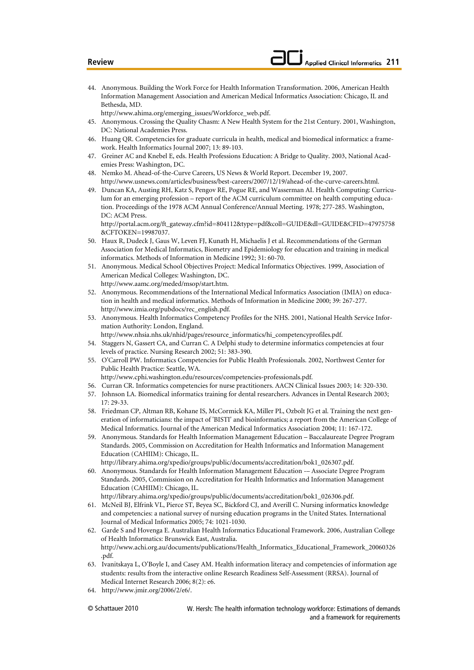- 44. Anonymous. Building the Work Force for Health Information Transformation. 2006, American Health Information Management Association and American Medical Informatics Association: Chicago, IL and Bethesda, MD.
	- http://www.ahima.org/emerging\_issues/Workforce\_web.pdf.
- 45. Anonymous. Crossing the Quality Chasm: A New Health System for the 21st Century. 2001, Washington, DC: National Academies Press.
- 46. Huang QR. Competencies for graduate curricula in health, medical and biomedical informatics: a framework. Health Informatics Journal 2007; 13: 89-103.
- 47. Greiner AC and Knebel E, eds. Health Professions Education: A Bridge to Quality. 2003, National Academies Press: Washington, DC.
- 48. Nemko M. Ahead-of-the-Curve Careers, US News & World Report. December 19, 2007. http://www.usnews.com/articles/business/best-careers/2007/12/19/ahead-of-the-curve-careers.html.
- 49. Duncan KA, Austing RH, Katz S, Pengov RE, Pogue RE, and Wasserman AI. Health Computing: Curriculum for an emerging profession – report of the ACM curriculum committee on health computing education. Proceedings of the 1978 ACM Annual Conference/Annual Meeting. 1978; 277-285. Washington, DC: ACM Press.

http://portal.acm.org/ft\_gateway.cfm?id=804112&type=pdf&coll=GUIDE&dl=GUIDE&CFID=47975758 &CFTOKEN=19987037.

- 50. Haux R, Dudeck J, Gaus W, Leven FJ, Kunath H, Michaelis J et al. Recommendations of the German Association for Medical Informatics, Biometry and Epidemiology for education and training in medical informatics. Methods of Information in Medicine 1992; 31: 60-70.
- 51. Anonymous. Medical School Objectives Project: Medical Informatics Objectives. 1999, Association of American Medical Colleges: Washington, DC.
- http://www.aamc.org/meded/msop/start.htm. 52. Anonymous. Recommendations of the International Medical Informatics Association (IMIA) on educa-
- tion in health and medical informatics. Methods of Information in Medicine 2000; 39: 267-277. http://www.imia.org/pubdocs/rec\_english.pdf.
- 53. Anonymous. Health Informatics Competency Profiles for the NHS. 2001, National Health Service Information Authority: London, England.

http://www.nhsia.nhs.uk/nhid/pages/resource\_informatics/hi\_competencyprofiles.pdf.

- 54. Staggers N, Gassert CA, and Curran C. A Delphi study to determine informatics competencies at four levels of practice. Nursing Research 2002; 51: 383-390.
- 55. O'Carroll PW. Informatics Competencies for Public Health Professionals. 2002, Northwest Center for Public Health Practice: Seattle, WA.
	- http://www.cphi.washington.edu/resources/competencies-professionals.pdf.
- 56. Curran CR. Informatics competencies for nurse practitioners. AACN Clinical Issues 2003; 14: 320-330.
- 57. Johnson LA. Biomedical informatics training for dental researchers. Advances in Dental Research 2003;  $17.29 - 33$
- 58. Friedman CP, Altman RB, Kohane IS, McCormick KA, Miller PL, Ozbolt JG et al. Training the next generation of informaticians: the impact of 'BISTI' and bioinformatics; a report from the American College of Medical Informatics. Journal of the American Medical Informatics Association 2004; 11: 167-172.
- 59. Anonymous. Standards for Health Information Management Education Baccalaureate Degree Program Standards. 2005, Commission on Accreditation for Health Informatics and Information Management Education (CAHIIM): Chicago, IL.
- http://library.ahima.org/xpedio/groups/public/documents/accreditation/bok1\_026307.pdf. 60. Anonymous. Standards for Health Information Management Education -– Associate Degree Program
- Standards. 2005, Commission on Accreditation for Health Informatics and Information Management Education (CAHIIM): Chicago, IL.

http://library.ahima.org/xpedio/groups/public/documents/accreditation/bok1\_026306.pdf.

- 61. McNeil BJ, Elfrink VL, Pierce ST, Beyea SC, Bickford CJ, and Averill C. Nursing informatics knowledge and competencies: a national survey of nursing education programs in the United States. International Journal of Medical Informatics 2005; 74: 1021-1030.
- 62. Garde S and Hovenga E. Australian Health Informatics Educational Framework. 2006, Australian College of Health Informatics: Brunswick East, Australia. http://www.achi.org.au/documents/publications/Health\_Informatics\_Educational\_Framework\_20060326 .pdf.
- 63. Ivanitskaya L, O'Boyle I, and Casey AM. Health information literacy and competencies of information age students: results from the interactive online Research Readiness Self-Assessment (RRSA). Journal of Medical Internet Research 2006; 8(2): e6.
- 64. http://www.jmir.org/2006/2/e6/.